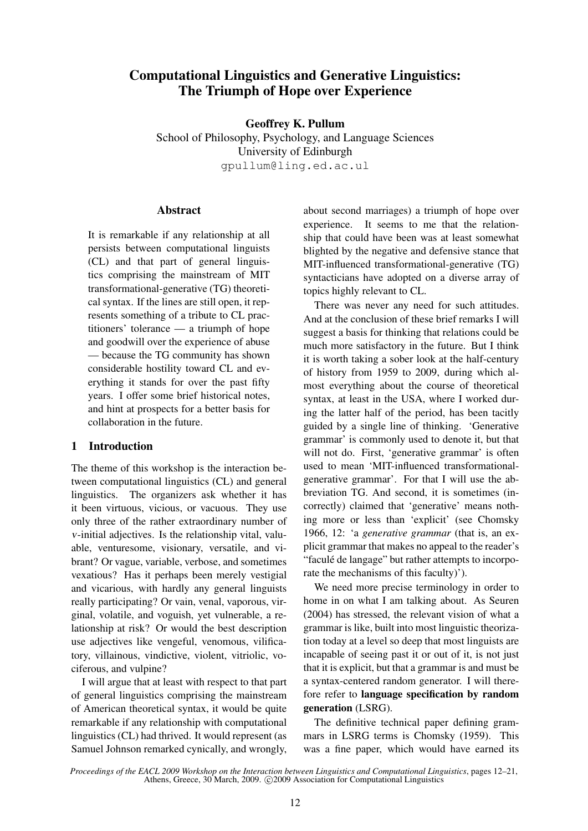# Computational Linguistics and Generative Linguistics: The Triumph of Hope over Experience

Geoffrey K. Pullum

School of Philosophy, Psychology, and Language Sciences University of Edinburgh gpullum@ling.ed.ac.ul

### Abstract

It is remarkable if any relationship at all persists between computational linguists (CL) and that part of general linguistics comprising the mainstream of MIT transformational-generative (TG) theoretical syntax. If the lines are still open, it represents something of a tribute to CL practitioners' tolerance — a triumph of hope and goodwill over the experience of abuse — because the TG community has shown considerable hostility toward CL and everything it stands for over the past fifty years. I offer some brief historical notes, and hint at prospects for a better basis for collaboration in the future.

# 1 Introduction

The theme of this workshop is the interaction between computational linguistics (CL) and general linguistics. The organizers ask whether it has it been virtuous, vicious, or vacuous. They use only three of the rather extraordinary number of v-initial adjectives. Is the relationship vital, valuable, venturesome, visionary, versatile, and vibrant? Or vague, variable, verbose, and sometimes vexatious? Has it perhaps been merely vestigial and vicarious, with hardly any general linguists really participating? Or vain, venal, vaporous, virginal, volatile, and voguish, yet vulnerable, a relationship at risk? Or would the best description use adjectives like vengeful, venomous, vilificatory, villainous, vindictive, violent, vitriolic, vociferous, and vulpine?

I will argue that at least with respect to that part of general linguistics comprising the mainstream of American theoretical syntax, it would be quite remarkable if any relationship with computational linguistics (CL) had thrived. It would represent (as Samuel Johnson remarked cynically, and wrongly, about second marriages) a triumph of hope over experience. It seems to me that the relationship that could have been was at least somewhat blighted by the negative and defensive stance that MIT-influenced transformational-generative (TG) syntacticians have adopted on a diverse array of topics highly relevant to CL.

There was never any need for such attitudes. And at the conclusion of these brief remarks I will suggest a basis for thinking that relations could be much more satisfactory in the future. But I think it is worth taking a sober look at the half-century of history from 1959 to 2009, during which almost everything about the course of theoretical syntax, at least in the USA, where I worked during the latter half of the period, has been tacitly guided by a single line of thinking. 'Generative grammar' is commonly used to denote it, but that will not do. First, 'generative grammar' is often used to mean 'MIT-influenced transformationalgenerative grammar'. For that I will use the abbreviation TG. And second, it is sometimes (incorrectly) claimed that 'generative' means nothing more or less than 'explicit' (see Chomsky 1966, 12: 'a *generative grammar* (that is, an explicit grammar that makes no appeal to the reader's "faculé de langage" but rather attempts to incorporate the mechanisms of this faculty)').

We need more precise terminology in order to home in on what I am talking about. As Seuren (2004) has stressed, the relevant vision of what a grammar is like, built into most linguistic theorization today at a level so deep that most linguists are incapable of seeing past it or out of it, is not just that it is explicit, but that a grammar is and must be a syntax-centered random generator. I will therefore refer to language specification by random generation (LSRG).

The definitive technical paper defining grammars in LSRG terms is Chomsky (1959). This was a fine paper, which would have earned its

*Proceedings of the EACL 2009 Workshop on the Interaction between Linguistics and Computational Linguistics*, pages 12–21, Athens, Greece, 30 March, 2009. C 2009 Association for Computational Linguistics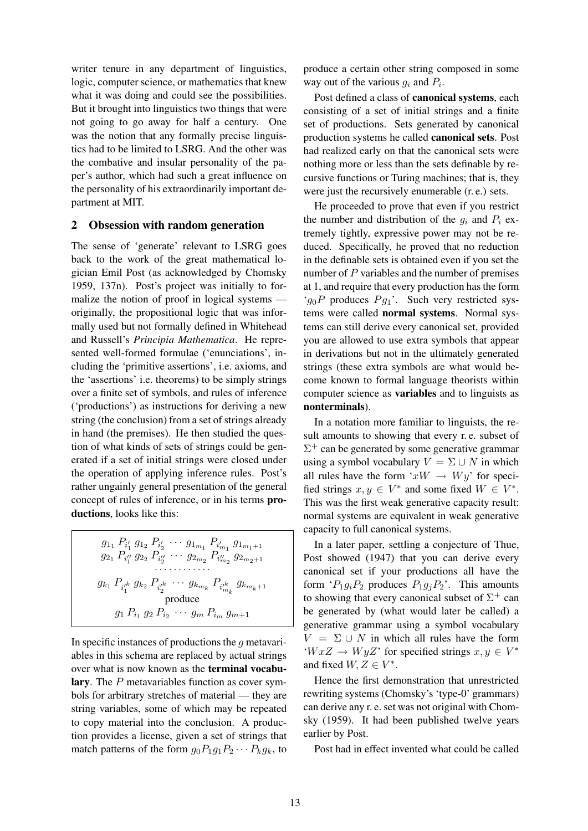writer tenure in any department of linguistics, logic, computer science, or mathematics that knew what it was doing and could see the possibilities. But it brought into linguistics two things that were not going to go away for half a century. One was the notion that any formally precise linguistics had to be limited to LSRG. And the other was the combative and insular personality of the paper's author, which had such a great influence on the personality of his extraordinarily important department at MIT.

#### 2 Obsession with random generation

The sense of 'generate' relevant to LSRG goes back to the work of the great mathematical logician Emil Post (as acknowledged by Chomsky 1959, 137n). Post's project was initially to formalize the notion of proof in logical systems originally, the propositional logic that was informally used but not formally defined in Whitehead and Russell's *Principia Mathematica*. He represented well-formed formulae ('enunciations', including the 'primitive assertions', i.e. axioms, and the 'assertions' i.e. theorems) to be simply strings over a finite set of symbols, and rules of inference ('productions') as instructions for deriving a new string (the conclusion) from a set of strings already in hand (the premises). He then studied the question of what kinds of sets of strings could be generated if a set of initial strings were closed under the operation of applying inference rules. Post's rather ungainly general presentation of the general concept of rules of inference, or in his terms productions, looks like this:

$$
g_{11} P_{i'_1} g_{12} P_{i'_2} \cdots g_{1_{m_1}} P_{i'_{m_1}} g_{1_{m_1+1}}
$$
  
\n
$$
g_{21} P_{i''_1} g_{22} P_{i''_2} \cdots g_{2_{m_2}} P_{i''_{m_2}} g_{2_{m_2+1}}
$$
  
\n
$$
\cdots \cdots \cdots \cdots
$$
  
\n
$$
g_{k_1} P_{i'_1} g_{k_2} P_{i'_2} g_{k_1} \cdots g_{k_{m_k}} P_{i'_{m_k}} g_{k_{m_k+1}}
$$
  
\nproduce  
\n
$$
g_1 P_{i_1} g_2 P_{i_2} \cdots g_m P_{i_m} g_{m+1}
$$

In specific instances of productions the  $g$  metavariables in this schema are replaced by actual strings over what is now known as the terminal vocabulary. The P metavariables function as cover symbols for arbitrary stretches of material — they are string variables, some of which may be repeated to copy material into the conclusion. A production provides a license, given a set of strings that match patterns of the form  $g_0P_1g_1P_2\cdots P_kg_k$ , to

produce a certain other string composed in some way out of the various  $g_i$  and  $P_i$ .

Post defined a class of canonical systems, each consisting of a set of initial strings and a finite set of productions. Sets generated by canonical production systems he called canonical sets. Post had realized early on that the canonical sets were nothing more or less than the sets definable by recursive functions or Turing machines; that is, they were just the recursively enumerable (r. e.) sets.

He proceeded to prove that even if you restrict the number and distribution of the  $g_i$  and  $P_i$  extremely tightly, expressive power may not be reduced. Specifically, he proved that no reduction in the definable sets is obtained even if you set the number of  $P$  variables and the number of premises at 1, and require that every production has the form ' $g_0P$  produces  $Pg_1$ '. Such very restricted systems were called normal systems. Normal systems can still derive every canonical set, provided you are allowed to use extra symbols that appear in derivations but not in the ultimately generated strings (these extra symbols are what would become known to formal language theorists within computer science as variables and to linguists as nonterminals).

In a notation more familiar to linguists, the result amounts to showing that every r. e. subset of  $\Sigma^+$  can be generated by some generative grammar using a symbol vocabulary  $V = \Sigma \cup N$  in which all rules have the form ' $xW \rightarrow Wy'$  for specified strings  $x, y \in V^*$  and some fixed  $W \in V^*$ . This was the first weak generative capacity result: normal systems are equivalent in weak generative capacity to full canonical systems.

In a later paper, settling a conjecture of Thue, Post showed (1947) that you can derive every canonical set if your productions all have the form ' $P_1g_iP_2$  produces  $P_1g_jP_2$ '. This amounts to showing that every canonical subset of  $\Sigma^+$  can be generated by (what would later be called) a generative grammar using a symbol vocabulary  $V = \Sigma \cup N$  in which all rules have the form  $W x Z \rightarrow Wy Z'$  for specified strings  $x, y \in V^*$ and fixed  $W, Z \in V^*$ .

Hence the first demonstration that unrestricted rewriting systems (Chomsky's 'type-0' grammars) can derive any r. e. set was not original with Chomsky (1959). It had been published twelve years earlier by Post.

Post had in effect invented what could be called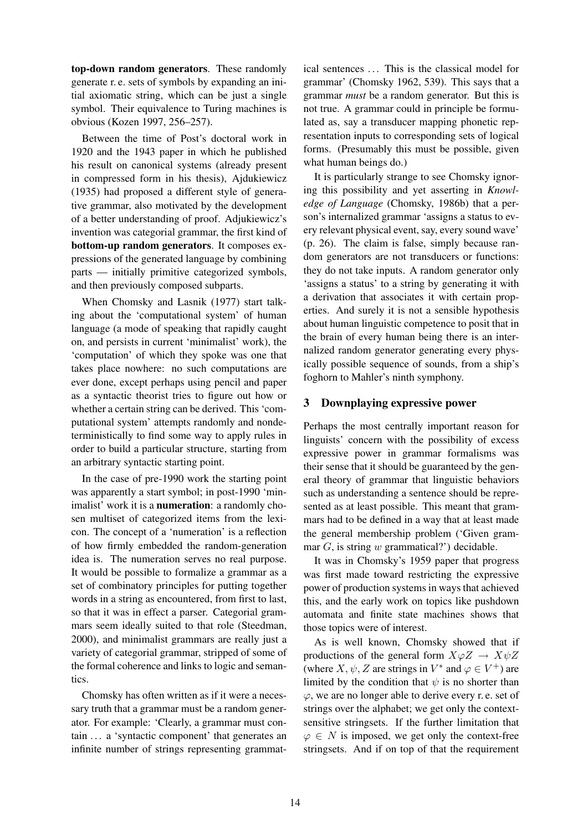top-down random generators. These randomly generate r. e. sets of symbols by expanding an initial axiomatic string, which can be just a single symbol. Their equivalence to Turing machines is obvious (Kozen 1997, 256–257).

Between the time of Post's doctoral work in 1920 and the 1943 paper in which he published his result on canonical systems (already present in compressed form in his thesis), Ajdukiewicz (1935) had proposed a different style of generative grammar, also motivated by the development of a better understanding of proof. Adjukiewicz's invention was categorial grammar, the first kind of bottom-up random generators. It composes expressions of the generated language by combining parts — initially primitive categorized symbols, and then previously composed subparts.

When Chomsky and Lasnik (1977) start talking about the 'computational system' of human language (a mode of speaking that rapidly caught on, and persists in current 'minimalist' work), the 'computation' of which they spoke was one that takes place nowhere: no such computations are ever done, except perhaps using pencil and paper as a syntactic theorist tries to figure out how or whether a certain string can be derived. This 'computational system' attempts randomly and nondeterministically to find some way to apply rules in order to build a particular structure, starting from an arbitrary syntactic starting point.

In the case of pre-1990 work the starting point was apparently a start symbol; in post-1990 'minimalist' work it is a **numeration**: a randomly chosen multiset of categorized items from the lexicon. The concept of a 'numeration' is a reflection of how firmly embedded the random-generation idea is. The numeration serves no real purpose. It would be possible to formalize a grammar as a set of combinatory principles for putting together words in a string as encountered, from first to last, so that it was in effect a parser. Categorial grammars seem ideally suited to that role (Steedman, 2000), and minimalist grammars are really just a variety of categorial grammar, stripped of some of the formal coherence and links to logic and semantics.

Chomsky has often written as if it were a necessary truth that a grammar must be a random generator. For example: 'Clearly, a grammar must contain . . . a 'syntactic component' that generates an infinite number of strings representing grammatical sentences ... This is the classical model for grammar' (Chomsky 1962, 539). This says that a grammar *must* be a random generator. But this is not true. A grammar could in principle be formulated as, say a transducer mapping phonetic representation inputs to corresponding sets of logical forms. (Presumably this must be possible, given what human beings do.)

It is particularly strange to see Chomsky ignoring this possibility and yet asserting in *Knowledge of Language* (Chomsky, 1986b) that a person's internalized grammar 'assigns a status to every relevant physical event, say, every sound wave' (p. 26). The claim is false, simply because random generators are not transducers or functions: they do not take inputs. A random generator only 'assigns a status' to a string by generating it with a derivation that associates it with certain properties. And surely it is not a sensible hypothesis about human linguistic competence to posit that in the brain of every human being there is an internalized random generator generating every physically possible sequence of sounds, from a ship's foghorn to Mahler's ninth symphony.

### 3 Downplaying expressive power

Perhaps the most centrally important reason for linguists' concern with the possibility of excess expressive power in grammar formalisms was their sense that it should be guaranteed by the general theory of grammar that linguistic behaviors such as understanding a sentence should be represented as at least possible. This meant that grammars had to be defined in a way that at least made the general membership problem ('Given grammar  $G$ , is string  $w$  grammatical?') decidable.

It was in Chomsky's 1959 paper that progress was first made toward restricting the expressive power of production systems in ways that achieved this, and the early work on topics like pushdown automata and finite state machines shows that those topics were of interest.

As is well known, Chomsky showed that if productions of the general form  $X\varphi Z \to X\psi Z$ (where  $X, \psi, Z$  are strings in  $V^*$  and  $\varphi \in V^+$ ) are limited by the condition that  $\psi$  is no shorter than  $\varphi$ , we are no longer able to derive every r. e. set of strings over the alphabet; we get only the contextsensitive stringsets. If the further limitation that  $\varphi \in N$  is imposed, we get only the context-free stringsets. And if on top of that the requirement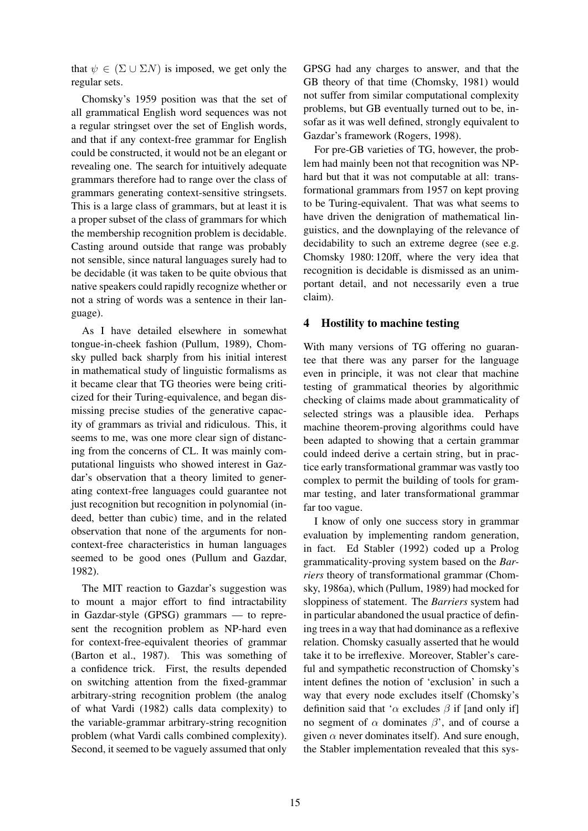that  $\psi \in (\Sigma \cup \Sigma N)$  is imposed, we get only the regular sets.

Chomsky's 1959 position was that the set of all grammatical English word sequences was not a regular stringset over the set of English words, and that if any context-free grammar for English could be constructed, it would not be an elegant or revealing one. The search for intuitively adequate grammars therefore had to range over the class of grammars generating context-sensitive stringsets. This is a large class of grammars, but at least it is a proper subset of the class of grammars for which the membership recognition problem is decidable. Casting around outside that range was probably not sensible, since natural languages surely had to be decidable (it was taken to be quite obvious that native speakers could rapidly recognize whether or not a string of words was a sentence in their language).

As I have detailed elsewhere in somewhat tongue-in-cheek fashion (Pullum, 1989), Chomsky pulled back sharply from his initial interest in mathematical study of linguistic formalisms as it became clear that TG theories were being criticized for their Turing-equivalence, and began dismissing precise studies of the generative capacity of grammars as trivial and ridiculous. This, it seems to me, was one more clear sign of distancing from the concerns of CL. It was mainly computational linguists who showed interest in Gazdar's observation that a theory limited to generating context-free languages could guarantee not just recognition but recognition in polynomial (indeed, better than cubic) time, and in the related observation that none of the arguments for noncontext-free characteristics in human languages seemed to be good ones (Pullum and Gazdar, 1982).

The MIT reaction to Gazdar's suggestion was to mount a major effort to find intractability in Gazdar-style (GPSG) grammars — to represent the recognition problem as NP-hard even for context-free-equivalent theories of grammar (Barton et al., 1987). This was something of a confidence trick. First, the results depended on switching attention from the fixed-grammar arbitrary-string recognition problem (the analog of what Vardi (1982) calls data complexity) to the variable-grammar arbitrary-string recognition problem (what Vardi calls combined complexity). Second, it seemed to be vaguely assumed that only GPSG had any charges to answer, and that the GB theory of that time (Chomsky, 1981) would not suffer from similar computational complexity problems, but GB eventually turned out to be, insofar as it was well defined, strongly equivalent to Gazdar's framework (Rogers, 1998).

For pre-GB varieties of TG, however, the problem had mainly been not that recognition was NPhard but that it was not computable at all: transformational grammars from 1957 on kept proving to be Turing-equivalent. That was what seems to have driven the denigration of mathematical linguistics, and the downplaying of the relevance of decidability to such an extreme degree (see e.g. Chomsky 1980: 120ff, where the very idea that recognition is decidable is dismissed as an unimportant detail, and not necessarily even a true claim).

### 4 Hostility to machine testing

With many versions of TG offering no guarantee that there was any parser for the language even in principle, it was not clear that machine testing of grammatical theories by algorithmic checking of claims made about grammaticality of selected strings was a plausible idea. Perhaps machine theorem-proving algorithms could have been adapted to showing that a certain grammar could indeed derive a certain string, but in practice early transformational grammar was vastly too complex to permit the building of tools for grammar testing, and later transformational grammar far too vague.

I know of only one success story in grammar evaluation by implementing random generation, in fact. Ed Stabler (1992) coded up a Prolog grammaticality-proving system based on the *Barriers* theory of transformational grammar (Chomsky, 1986a), which (Pullum, 1989) had mocked for sloppiness of statement. The *Barriers* system had in particular abandoned the usual practice of defining trees in a way that had dominance as a reflexive relation. Chomsky casually asserted that he would take it to be irreflexive. Moreover, Stabler's careful and sympathetic reconstruction of Chomsky's intent defines the notion of 'exclusion' in such a way that every node excludes itself (Chomsky's definition said that ' $\alpha$  excludes  $\beta$  if [and only if] no segment of  $\alpha$  dominates  $\beta$ , and of course a given  $\alpha$  never dominates itself). And sure enough, the Stabler implementation revealed that this sys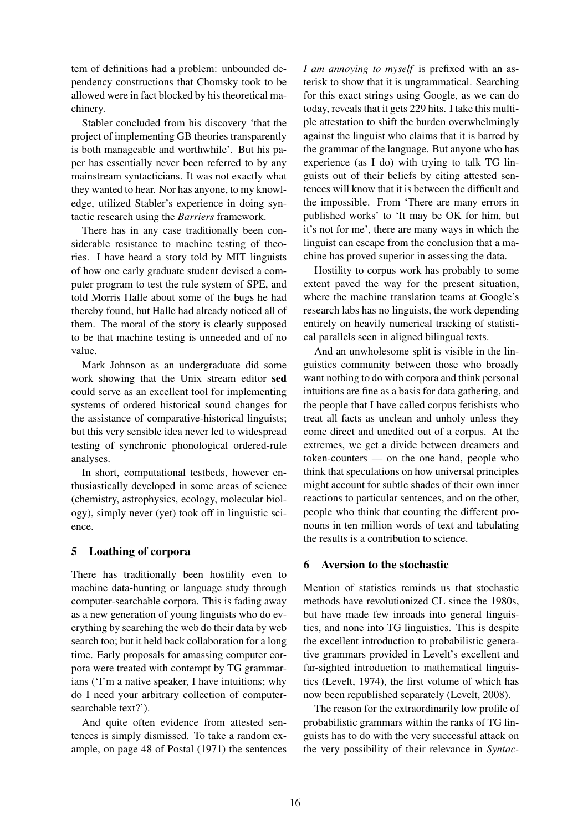tem of definitions had a problem: unbounded dependency constructions that Chomsky took to be allowed were in fact blocked by his theoretical machinery.

Stabler concluded from his discovery 'that the project of implementing GB theories transparently is both manageable and worthwhile'. But his paper has essentially never been referred to by any mainstream syntacticians. It was not exactly what they wanted to hear. Nor has anyone, to my knowledge, utilized Stabler's experience in doing syntactic research using the *Barriers* framework.

There has in any case traditionally been considerable resistance to machine testing of theories. I have heard a story told by MIT linguists of how one early graduate student devised a computer program to test the rule system of SPE, and told Morris Halle about some of the bugs he had thereby found, but Halle had already noticed all of them. The moral of the story is clearly supposed to be that machine testing is unneeded and of no value.

Mark Johnson as an undergraduate did some work showing that the Unix stream editor sed could serve as an excellent tool for implementing systems of ordered historical sound changes for the assistance of comparative-historical linguists; but this very sensible idea never led to widespread testing of synchronic phonological ordered-rule analyses.

In short, computational testbeds, however enthusiastically developed in some areas of science (chemistry, astrophysics, ecology, molecular biology), simply never (yet) took off in linguistic science.

# 5 Loathing of corpora

There has traditionally been hostility even to machine data-hunting or language study through computer-searchable corpora. This is fading away as a new generation of young linguists who do everything by searching the web do their data by web search too; but it held back collaboration for a long time. Early proposals for amassing computer corpora were treated with contempt by TG grammarians ('I'm a native speaker, I have intuitions; why do I need your arbitrary collection of computersearchable text?').

And quite often evidence from attested sentences is simply dismissed. To take a random example, on page 48 of Postal (1971) the sentences *I am annoying to myself* is prefixed with an asterisk to show that it is ungrammatical. Searching for this exact strings using Google, as we can do today, reveals that it gets 229 hits. I take this multiple attestation to shift the burden overwhelmingly against the linguist who claims that it is barred by the grammar of the language. But anyone who has experience (as I do) with trying to talk TG linguists out of their beliefs by citing attested sentences will know that it is between the difficult and the impossible. From 'There are many errors in published works' to 'It may be OK for him, but it's not for me', there are many ways in which the linguist can escape from the conclusion that a machine has proved superior in assessing the data.

Hostility to corpus work has probably to some extent paved the way for the present situation, where the machine translation teams at Google's research labs has no linguists, the work depending entirely on heavily numerical tracking of statistical parallels seen in aligned bilingual texts.

And an unwholesome split is visible in the linguistics community between those who broadly want nothing to do with corpora and think personal intuitions are fine as a basis for data gathering, and the people that I have called corpus fetishists who treat all facts as unclean and unholy unless they come direct and unedited out of a corpus. At the extremes, we get a divide between dreamers and token-counters — on the one hand, people who think that speculations on how universal principles might account for subtle shades of their own inner reactions to particular sentences, and on the other, people who think that counting the different pronouns in ten million words of text and tabulating the results is a contribution to science.

# 6 Aversion to the stochastic

Mention of statistics reminds us that stochastic methods have revolutionized CL since the 1980s, but have made few inroads into general linguistics, and none into TG linguistics. This is despite the excellent introduction to probabilistic generative grammars provided in Levelt's excellent and far-sighted introduction to mathematical linguistics (Levelt, 1974), the first volume of which has now been republished separately (Levelt, 2008).

The reason for the extraordinarily low profile of probabilistic grammars within the ranks of TG linguists has to do with the very successful attack on the very possibility of their relevance in *Syntac-*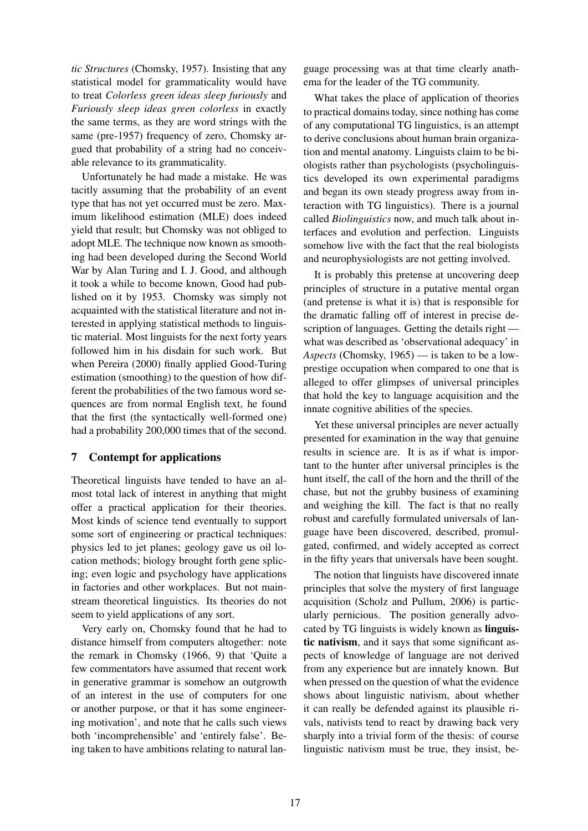*tic Structures* (Chomsky, 1957). Insisting that any statistical model for grammaticality would have to treat *Colorless green ideas sleep furiously* and *Furiously sleep ideas green colorless* in exactly the same terms, as they are word strings with the same (pre-1957) frequency of zero, Chomsky argued that probability of a string had no conceivable relevance to its grammaticality.

Unfortunately he had made a mistake. He was tacitly assuming that the probability of an event type that has not yet occurred must be zero. Maximum likelihood estimation (MLE) does indeed yield that result; but Chomsky was not obliged to adopt MLE. The technique now known as smoothing had been developed during the Second World War by Alan Turing and I. J. Good, and although it took a while to become known, Good had published on it by 1953. Chomsky was simply not acquainted with the statistical literature and not interested in applying statistical methods to linguistic material. Most linguists for the next forty years followed him in his disdain for such work. But when Pereira (2000) finally applied Good-Turing estimation (smoothing) to the question of how different the probabilities of the two famous word sequences are from normal English text, he found that the first (the syntactically well-formed one) had a probability 200,000 times that of the second.

# 7 Contempt for applications

Theoretical linguists have tended to have an almost total lack of interest in anything that might offer a practical application for their theories. Most kinds of science tend eventually to support some sort of engineering or practical techniques: physics led to jet planes; geology gave us oil location methods; biology brought forth gene splicing; even logic and psychology have applications in factories and other workplaces. But not mainstream theoretical linguistics. Its theories do not seem to yield applications of any sort.

Very early on, Chomsky found that he had to distance himself from computers altogether: note the remark in Chomsky (1966, 9) that 'Quite a few commentators have assumed that recent work in generative grammar is somehow an outgrowth of an interest in the use of computers for one or another purpose, or that it has some engineering motivation', and note that he calls such views both 'incomprehensible' and 'entirely false'. Being taken to have ambitions relating to natural lan-

guage processing was at that time clearly anathema for the leader of the TG community.

What takes the place of application of theories to practical domains today, since nothing has come of any computational TG linguistics, is an attempt to derive conclusions about human brain organization and mental anatomy. Linguists claim to be biologists rather than psychologists (psycholinguistics developed its own experimental paradigms and began its own steady progress away from interaction with TG linguistics). There is a journal called *Biolinguistics* now, and much talk about interfaces and evolution and perfection. Linguists somehow live with the fact that the real biologists and neurophysiologists are not getting involved.

It is probably this pretense at uncovering deep principles of structure in a putative mental organ (and pretense is what it is) that is responsible for the dramatic falling off of interest in precise description of languages. Getting the details right what was described as 'observational adequacy' in *Aspects* (Chomsky, 1965) — is taken to be a lowprestige occupation when compared to one that is alleged to offer glimpses of universal principles that hold the key to language acquisition and the innate cognitive abilities of the species.

Yet these universal principles are never actually presented for examination in the way that genuine results in science are. It is as if what is important to the hunter after universal principles is the hunt itself, the call of the horn and the thrill of the chase, but not the grubby business of examining and weighing the kill. The fact is that no really robust and carefully formulated universals of language have been discovered, described, promulgated, confirmed, and widely accepted as correct in the fifty years that universals have been sought.

The notion that linguists have discovered innate principles that solve the mystery of first language acquisition (Scholz and Pullum, 2006) is particularly pernicious. The position generally advocated by TG linguists is widely known as linguistic nativism, and it says that some significant aspects of knowledge of language are not derived from any experience but are innately known. But when pressed on the question of what the evidence shows about linguistic nativism, about whether it can really be defended against its plausible rivals, nativists tend to react by drawing back very sharply into a trivial form of the thesis: of course linguistic nativism must be true, they insist, be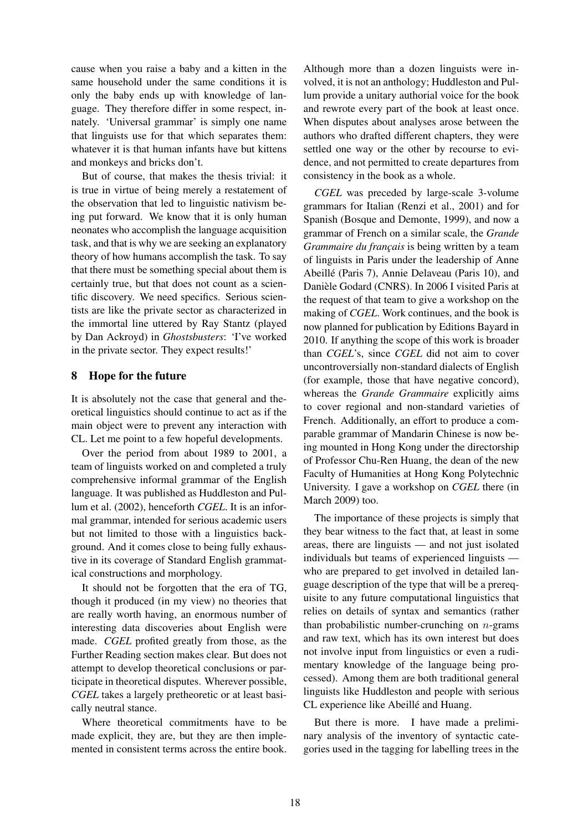cause when you raise a baby and a kitten in the same household under the same conditions it is only the baby ends up with knowledge of language. They therefore differ in some respect, innately. 'Universal grammar' is simply one name that linguists use for that which separates them: whatever it is that human infants have but kittens and monkeys and bricks don't.

But of course, that makes the thesis trivial: it is true in virtue of being merely a restatement of the observation that led to linguistic nativism being put forward. We know that it is only human neonates who accomplish the language acquisition task, and that is why we are seeking an explanatory theory of how humans accomplish the task. To say that there must be something special about them is certainly true, but that does not count as a scientific discovery. We need specifics. Serious scientists are like the private sector as characterized in the immortal line uttered by Ray Stantz (played by Dan Ackroyd) in *Ghostsbusters*: 'I've worked in the private sector. They expect results!'

# 8 Hope for the future

It is absolutely not the case that general and theoretical linguistics should continue to act as if the main object were to prevent any interaction with CL. Let me point to a few hopeful developments.

Over the period from about 1989 to 2001, a team of linguists worked on and completed a truly comprehensive informal grammar of the English language. It was published as Huddleston and Pullum et al. (2002), henceforth *CGEL*. It is an informal grammar, intended for serious academic users but not limited to those with a linguistics background. And it comes close to being fully exhaustive in its coverage of Standard English grammatical constructions and morphology.

It should not be forgotten that the era of TG, though it produced (in my view) no theories that are really worth having, an enormous number of interesting data discoveries about English were made. *CGEL* profited greatly from those, as the Further Reading section makes clear. But does not attempt to develop theoretical conclusions or participate in theoretical disputes. Wherever possible, *CGEL* takes a largely pretheoretic or at least basically neutral stance.

Where theoretical commitments have to be made explicit, they are, but they are then implemented in consistent terms across the entire book. Although more than a dozen linguists were involved, it is not an anthology; Huddleston and Pullum provide a unitary authorial voice for the book and rewrote every part of the book at least once. When disputes about analyses arose between the authors who drafted different chapters, they were settled one way or the other by recourse to evidence, and not permitted to create departures from consistency in the book as a whole.

*CGEL* was preceded by large-scale 3-volume grammars for Italian (Renzi et al., 2001) and for Spanish (Bosque and Demonte, 1999), and now a grammar of French on a similar scale, the *Grande Grammaire du français* is being written by a team of linguists in Paris under the leadership of Anne Abeille (Paris 7), Annie Delaveau (Paris 10), and ´ Danièle Godard (CNRS). In 2006 I visited Paris at the request of that team to give a workshop on the making of *CGEL*. Work continues, and the book is now planned for publication by Editions Bayard in 2010. If anything the scope of this work is broader than *CGEL*'s, since *CGEL* did not aim to cover uncontroversially non-standard dialects of English (for example, those that have negative concord), whereas the *Grande Grammaire* explicitly aims to cover regional and non-standard varieties of French. Additionally, an effort to produce a comparable grammar of Mandarin Chinese is now being mounted in Hong Kong under the directorship of Professor Chu-Ren Huang, the dean of the new Faculty of Humanities at Hong Kong Polytechnic University. I gave a workshop on *CGEL* there (in March 2009) too.

The importance of these projects is simply that they bear witness to the fact that, at least in some areas, there are linguists — and not just isolated individuals but teams of experienced linguists who are prepared to get involved in detailed language description of the type that will be a prerequisite to any future computational linguistics that relies on details of syntax and semantics (rather than probabilistic number-crunching on  $n$ -grams and raw text, which has its own interest but does not involve input from linguistics or even a rudimentary knowledge of the language being processed). Among them are both traditional general linguists like Huddleston and people with serious CL experience like Abeillé and Huang.

But there is more. I have made a preliminary analysis of the inventory of syntactic categories used in the tagging for labelling trees in the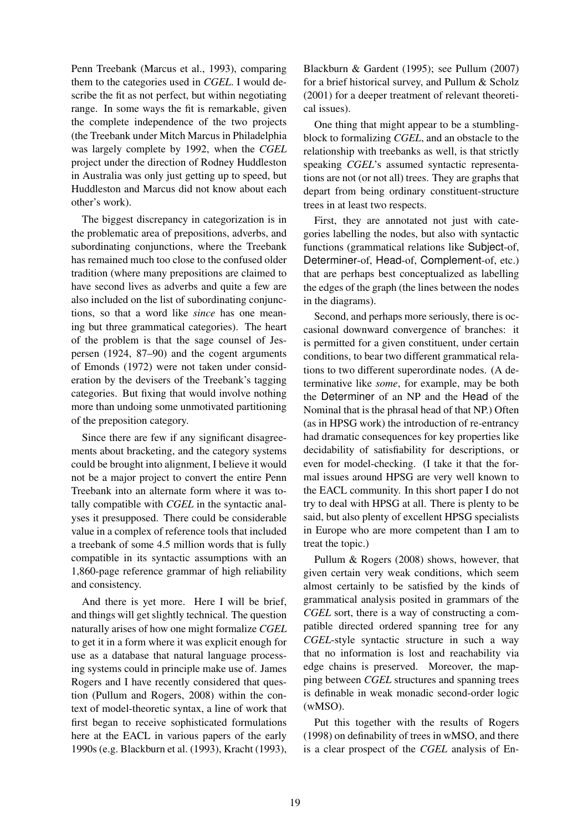Penn Treebank (Marcus et al., 1993), comparing them to the categories used in *CGEL*. I would describe the fit as not perfect, but within negotiating range. In some ways the fit is remarkable, given the complete independence of the two projects (the Treebank under Mitch Marcus in Philadelphia was largely complete by 1992, when the *CGEL* project under the direction of Rodney Huddleston in Australia was only just getting up to speed, but Huddleston and Marcus did not know about each other's work).

The biggest discrepancy in categorization is in the problematic area of prepositions, adverbs, and subordinating conjunctions, where the Treebank has remained much too close to the confused older tradition (where many prepositions are claimed to have second lives as adverbs and quite a few are also included on the list of subordinating conjunctions, so that a word like *since* has one meaning but three grammatical categories). The heart of the problem is that the sage counsel of Jespersen (1924, 87–90) and the cogent arguments of Emonds (1972) were not taken under consideration by the devisers of the Treebank's tagging categories. But fixing that would involve nothing more than undoing some unmotivated partitioning of the preposition category.

Since there are few if any significant disagreements about bracketing, and the category systems could be brought into alignment, I believe it would not be a major project to convert the entire Penn Treebank into an alternate form where it was totally compatible with *CGEL* in the syntactic analyses it presupposed. There could be considerable value in a complex of reference tools that included a treebank of some 4.5 million words that is fully compatible in its syntactic assumptions with an 1,860-page reference grammar of high reliability and consistency.

And there is yet more. Here I will be brief, and things will get slightly technical. The question naturally arises of how one might formalize *CGEL* to get it in a form where it was explicit enough for use as a database that natural language processing systems could in principle make use of. James Rogers and I have recently considered that question (Pullum and Rogers, 2008) within the context of model-theoretic syntax, a line of work that first began to receive sophisticated formulations here at the EACL in various papers of the early 1990s (e.g. Blackburn et al. (1993), Kracht (1993),

Blackburn & Gardent (1995); see Pullum (2007) for a brief historical survey, and Pullum & Scholz (2001) for a deeper treatment of relevant theoretical issues).

One thing that might appear to be a stumblingblock to formalizing *CGEL*, and an obstacle to the relationship with treebanks as well, is that strictly speaking *CGEL*'s assumed syntactic representations are not (or not all) trees. They are graphs that depart from being ordinary constituent-structure trees in at least two respects.

First, they are annotated not just with categories labelling the nodes, but also with syntactic functions (grammatical relations like Subject-of, Determiner-of, Head-of, Complement-of, etc.) that are perhaps best conceptualized as labelling the edges of the graph (the lines between the nodes in the diagrams).

Second, and perhaps more seriously, there is occasional downward convergence of branches: it is permitted for a given constituent, under certain conditions, to bear two different grammatical relations to two different superordinate nodes. (A determinative like *some*, for example, may be both the Determiner of an NP and the Head of the Nominal that is the phrasal head of that NP.) Often (as in HPSG work) the introduction of re-entrancy had dramatic consequences for key properties like decidability of satisfiability for descriptions, or even for model-checking. (I take it that the formal issues around HPSG are very well known to the EACL community. In this short paper I do not try to deal with HPSG at all. There is plenty to be said, but also plenty of excellent HPSG specialists in Europe who are more competent than I am to treat the topic.)

Pullum & Rogers (2008) shows, however, that given certain very weak conditions, which seem almost certainly to be satisfied by the kinds of grammatical analysis posited in grammars of the *CGEL* sort, there is a way of constructing a compatible directed ordered spanning tree for any *CGEL*-style syntactic structure in such a way that no information is lost and reachability via edge chains is preserved. Moreover, the mapping between *CGEL* structures and spanning trees is definable in weak monadic second-order logic (wMSO).

Put this together with the results of Rogers (1998) on definability of trees in wMSO, and there is a clear prospect of the *CGEL* analysis of En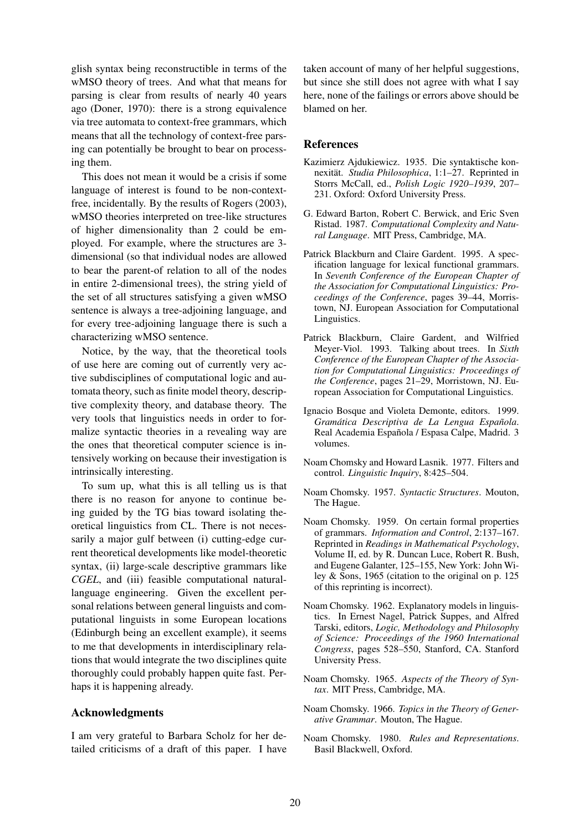glish syntax being reconstructible in terms of the wMSO theory of trees. And what that means for parsing is clear from results of nearly 40 years ago (Doner, 1970): there is a strong equivalence via tree automata to context-free grammars, which means that all the technology of context-free parsing can potentially be brought to bear on processing them.

This does not mean it would be a crisis if some language of interest is found to be non-contextfree, incidentally. By the results of Rogers (2003), wMSO theories interpreted on tree-like structures of higher dimensionality than 2 could be employed. For example, where the structures are 3 dimensional (so that individual nodes are allowed to bear the parent-of relation to all of the nodes in entire 2-dimensional trees), the string yield of the set of all structures satisfying a given wMSO sentence is always a tree-adjoining language, and for every tree-adjoining language there is such a characterizing wMSO sentence.

Notice, by the way, that the theoretical tools of use here are coming out of currently very active subdisciplines of computational logic and automata theory, such as finite model theory, descriptive complexity theory, and database theory. The very tools that linguistics needs in order to formalize syntactic theories in a revealing way are the ones that theoretical computer science is intensively working on because their investigation is intrinsically interesting.

To sum up, what this is all telling us is that there is no reason for anyone to continue being guided by the TG bias toward isolating theoretical linguistics from CL. There is not necessarily a major gulf between (i) cutting-edge current theoretical developments like model-theoretic syntax, (ii) large-scale descriptive grammars like *CGEL*, and (iii) feasible computational naturallanguage engineering. Given the excellent personal relations between general linguists and computational linguists in some European locations (Edinburgh being an excellent example), it seems to me that developments in interdisciplinary relations that would integrate the two disciplines quite thoroughly could probably happen quite fast. Perhaps it is happening already.

#### Acknowledgments

I am very grateful to Barbara Scholz for her detailed criticisms of a draft of this paper. I have taken account of many of her helpful suggestions, but since she still does not agree with what I say here, none of the failings or errors above should be blamed on her.

#### References

- Kazimierz Ajdukiewicz. 1935. Die syntaktische konnexitat. ¨ *Studia Philosophica*, 1:1–27. Reprinted in Storrs McCall, ed., *Polish Logic 1920–1939*, 207– 231. Oxford: Oxford University Press.
- G. Edward Barton, Robert C. Berwick, and Eric Sven Ristad. 1987. *Computational Complexity and Natural Language*. MIT Press, Cambridge, MA.
- Patrick Blackburn and Claire Gardent. 1995. A specification language for lexical functional grammars. In *Seventh Conference of the European Chapter of the Association for Computational Linguistics: Proceedings of the Conference*, pages 39–44, Morristown, NJ. European Association for Computational Linguistics.
- Patrick Blackburn, Claire Gardent, and Wilfried Meyer-Viol. 1993. Talking about trees. In *Sixth Conference of the European Chapter of the Association for Computational Linguistics: Proceedings of the Conference*, pages 21–29, Morristown, NJ. European Association for Computational Linguistics.
- Ignacio Bosque and Violeta Demonte, editors. 1999. *Gramática Descriptiva de La Lengua Española.* Real Academia Española / Espasa Calpe, Madrid. 3 volumes.
- Noam Chomsky and Howard Lasnik. 1977. Filters and control. *Linguistic Inquiry*, 8:425–504.
- Noam Chomsky. 1957. *Syntactic Structures*. Mouton, The Hague.
- Noam Chomsky. 1959. On certain formal properties of grammars. *Information and Control*, 2:137–167. Reprinted in *Readings in Mathematical Psychology*, Volume II, ed. by R. Duncan Luce, Robert R. Bush, and Eugene Galanter, 125–155, New York: John Wiley & Sons, 1965 (citation to the original on p. 125 of this reprinting is incorrect).
- Noam Chomsky. 1962. Explanatory models in linguistics. In Ernest Nagel, Patrick Suppes, and Alfred Tarski, editors, *Logic, Methodology and Philosophy of Science: Proceedings of the 1960 International Congress*, pages 528–550, Stanford, CA. Stanford University Press.
- Noam Chomsky. 1965. *Aspects of the Theory of Syntax*. MIT Press, Cambridge, MA.
- Noam Chomsky. 1966. *Topics in the Theory of Generative Grammar*. Mouton, The Hague.
- Noam Chomsky. 1980. *Rules and Representations*. Basil Blackwell, Oxford.